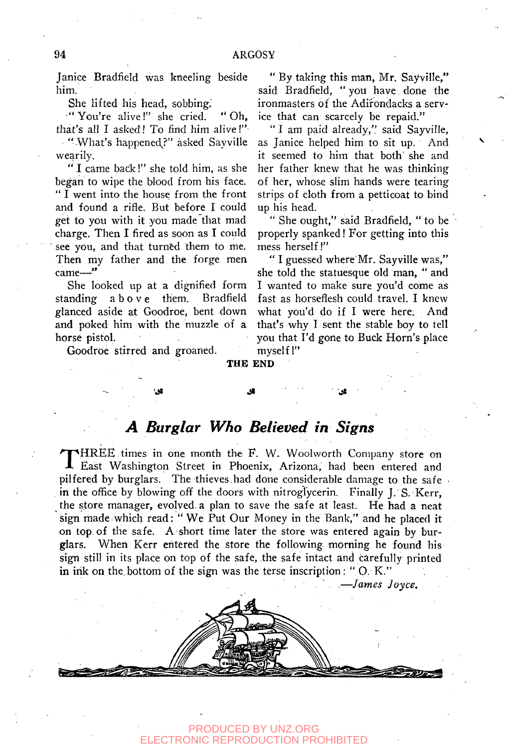Janice Bradfield was kneeling beside him.

She lifted his head, sobbing.

"You're alive!" she cried. "Oh, that's all I asked! To find him alive!" " "What's happened?" asked Sayville

wearily.

" I came back!" she told him, as she began to wipe the blood from his face. " I went into the house from the front and found a rifle. But before I could get to you with it you made that mad charge. Then I fired as soon as I could see you, and that turned them to me. Then my father and the forge men came—"

She looked up at a dignified form standing abov e them. Bradfield glanced aside at Goodroe, bent down and poked him with the muzzle of a horse pistol.

Goodroe stirred and groaned.

" By taking this man, Mr. Sayville," said Bradfield, " you have done the ironmasters of the Adirondacks a service that can scarcely be repaid."

" I am paid already," said Sayville, as Janice helped him to sit up. And it seemed to him that both' she and her father knew that he was thinking of her, whose slim hands were tearing strips of cloth from a petticoat to bind up his head.

" She ought," said Bradfield, " to be properly spanked! For getting into this mess herself!"

" I guessed where Mr. Sayville was," she told the statuesque old man, " and I wanted to make sure you'd come as fast as horseflesh could travel. I knew what you'd do if I were here. And that's why I sent the stable boy to tell you that I'd gone to Buck Horn's place myself!"

## **THE END**

## *A Burglar Who Believed in Signs*

**'.\* .St** 

THREE times in one month the F. W. Woolworth Company store on East Washington Street in Phoenix, Arizona, had been entered and HREE times in one month the F. W. Woolworth Company store on pilfered by burglars. The thieves had done considerable damage to the safe . in the office by blowing off the doors with nitroglycerin. Finally J. S. Kerr, the store manager, evolved, a plan to save the safe at least. He had a neat sign made which read: " We Put Our Money in the Bank," and he placed it on top. of the safe. A short time later the store was entered again by burglars. When Kerr entered the store the following morning he found his sign still in its place on top of the safe, the safe intact and carefully printed in ink on the bottom of the sign was the terse inscription: "O. K."

. " .—*James Joyce.* 



## PRODUCED BY UNZ.ORG TRONIC REPRODUCTION PROHIBITED